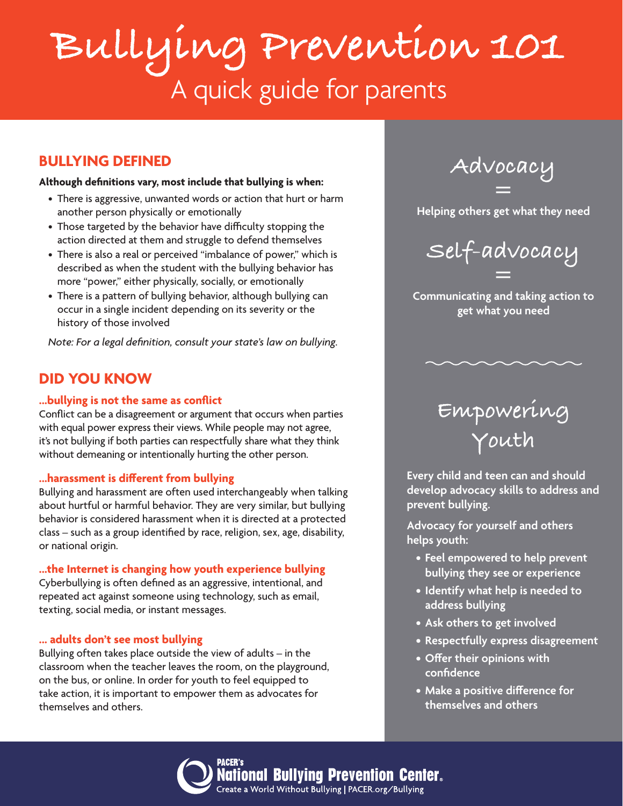# **Bullying Prevention 101** A quick guide for parents

### **BULLYING DEFINED**

#### **Although definitions vary, most include that bullying is when:**

- There is aggressive, unwanted words or action that hurt or harm another person physically or emotionally
- Those targeted by the behavior have difficulty stopping the action directed at them and struggle to defend themselves
- There is also a real or perceived "imbalance of power," which is described as when the student with the bullying behavior has more "power," either physically, socially, or emotionally
- There is a pattern of bullying behavior, although bullying can occur in a single incident depending on its severity or the history of those involved

*Note: For a legal definition, consult your state's law on bullying.*

### **DID YOU KNOW**

### **...bullying is not the same as conflict**

Conflict can be a disagreement or argument that occurs when parties with equal power express their views. While people may not agree, it's not bullying if both parties can respectfully share what they think without demeaning or intentionally hurting the other person.

### **...harassment is different from bullying**

Bullying and harassment are often used interchangeably when talking about hurtful or harmful behavior. They are very similar, but bullying behavior is considered harassment when it is directed at a protected class – such as a group identified by race, religion, sex, age, disability, or national origin.

**...the Internet is changing how youth experience bullying**

Cyberbullying is often defined as an aggressive, intentional, and repeated act against someone using technology, such as email, texting, social media, or instant messages.

#### **... adults don't see most bullying**

Bullying often takes place outside the view of adults – in the classroom when the teacher leaves the room, on the playground, on the bus, or online. In order for youth to feel equipped to take action, it is important to empower them as advocates for themselves and others.

Mational Bullying Prevention Center.

**Advocacy =** 

**Helping others get what they need**



**Communicating and taking action to get what you need**

## **Empowering Youth**

**Every child and teen can and should develop advocacy skills to address and prevent bullying.**

**Advocacy for yourself and others helps youth:**

- **• Feel empowered to help prevent bullying they see or experience**
- **• Identify what help is needed to address bullying**
- **• Ask others to get involved**
- **• Respectfully express disagreement**
- **• Offer their opinions with confidence**
- **• Make a positive difference for themselves and others**